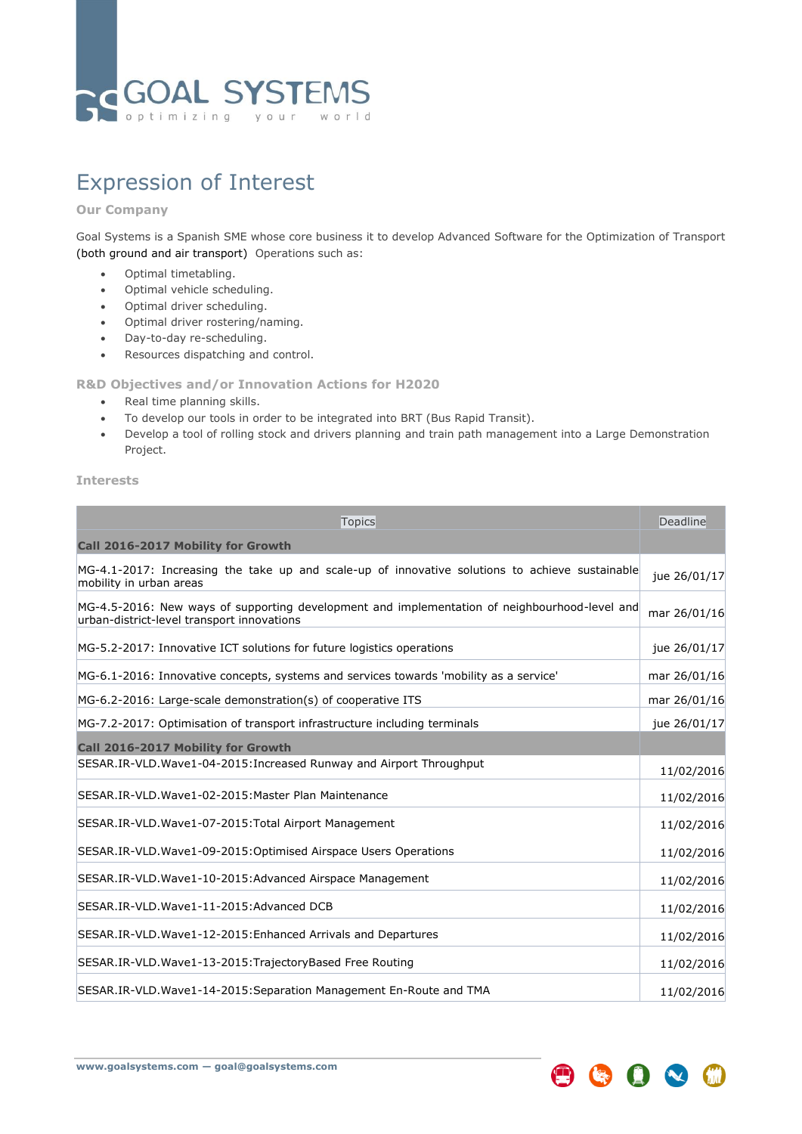

## Expression of Interest

## **Our Company**

Goal Systems is a Spanish SME whose core business it to develop Advanced Software for the Optimization of Transport (both ground and air transport) Operations such as:

- Optimal timetabling.
- Optimal vehicle scheduling.
- Optimal driver scheduling.
- Optimal driver rostering/naming.
- Day-to-day re-scheduling.
- Resources dispatching and control.

## **R&D Objectives and/or Innovation Actions for H2020**

- Real time planning skills.
- To develop our tools in order to be integrated into BRT (Bus Rapid Transit).
- Develop a tool of rolling stock and drivers planning and train path management into a Large Demonstration Project.

## **Interests**

| Topics                                                                                                                                      | Deadline     |
|---------------------------------------------------------------------------------------------------------------------------------------------|--------------|
| Call 2016-2017 Mobility for Growth                                                                                                          |              |
| MG-4.1-2017: Increasing the take up and scale-up of innovative solutions to achieve sustainable<br>mobility in urban areas                  | jue 26/01/17 |
| MG-4.5-2016: New ways of supporting development and implementation of neighbourhood-level and<br>urban-district-level transport innovations | mar 26/01/16 |
| MG-5.2-2017: Innovative ICT solutions for future logistics operations                                                                       | jue 26/01/17 |
| MG-6.1-2016: Innovative concepts, systems and services towards 'mobility as a service'                                                      | mar 26/01/16 |
| MG-6.2-2016: Large-scale demonstration(s) of cooperative ITS                                                                                | mar 26/01/16 |
| MG-7.2-2017: Optimisation of transport infrastructure including terminals                                                                   | jue 26/01/17 |
| Call 2016-2017 Mobility for Growth                                                                                                          |              |
| SESAR.IR-VLD.Wave1-04-2015: Increased Runway and Airport Throughput                                                                         | 11/02/2016   |
| SESAR.IR-VLD.Wave1-02-2015:Master Plan Maintenance                                                                                          | 11/02/2016   |
| SESAR.IR-VLD.Wave1-07-2015:Total Airport Management                                                                                         | 11/02/2016   |
| SESAR.IR-VLD.Wave1-09-2015:Optimised Airspace Users Operations                                                                              | 11/02/2016   |
| SESAR.IR-VLD.Wave1-10-2015:Advanced Airspace Management                                                                                     | 11/02/2016   |
| SESAR.IR-VLD.Wave1-11-2015:Advanced DCB                                                                                                     | 11/02/2016   |
| SESAR.IR-VLD.Wave1-12-2015: Enhanced Arrivals and Departures                                                                                | 11/02/2016   |
| SESAR.IR-VLD.Wave1-13-2015:TrajectoryBased Free Routing                                                                                     | 11/02/2016   |
| SESAR.IR-VLD.Wave1-14-2015: Separation Management En-Route and TMA                                                                          | 11/02/2016   |